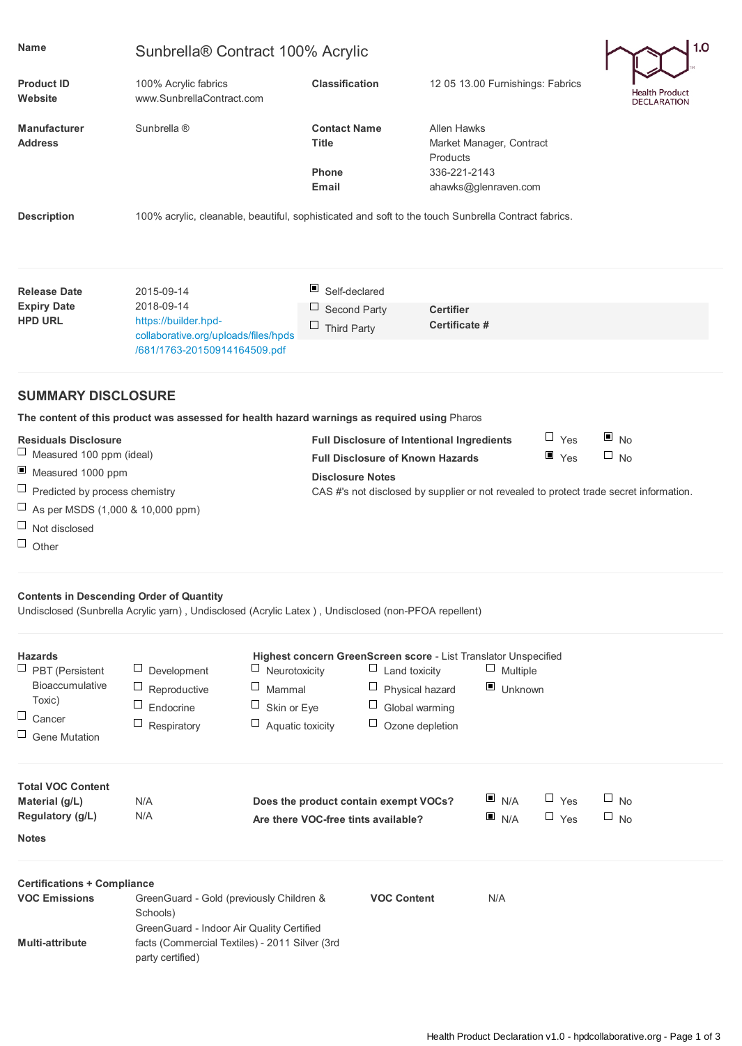| <b>Name</b>                                                                                                                                            | Sunbrella® Contract 100% Acrylic                                                                           |                       |                                                                                 |                                                                                            |                                                                                                    |                          | 1.0                    |                                                                                        |
|--------------------------------------------------------------------------------------------------------------------------------------------------------|------------------------------------------------------------------------------------------------------------|-----------------------|---------------------------------------------------------------------------------|--------------------------------------------------------------------------------------------|----------------------------------------------------------------------------------------------------|--------------------------|------------------------|----------------------------------------------------------------------------------------|
| <b>Product ID</b><br>Website                                                                                                                           | 100% Acrylic fabrics<br>www.SunbrellaContract.com                                                          |                       | <b>Classification</b>                                                           |                                                                                            | 12 05 13.00 Furnishings: Fabrics                                                                   |                          |                        | <b>Health Product</b><br><b>DECLARATION</b>                                            |
| <b>Manufacturer</b><br><b>Address</b>                                                                                                                  | Sunbrella ®                                                                                                |                       | <b>Contact Name</b><br><b>Title</b><br>Phone<br>Email                           |                                                                                            | <b>Allen Hawks</b><br>Market Manager, Contract<br>Products<br>336-221-2143<br>ahawks@glenraven.com |                          |                        |                                                                                        |
| <b>Description</b>                                                                                                                                     | 100% acrylic, cleanable, beautiful, sophisticated and soft to the touch Sunbrella Contract fabrics.        |                       |                                                                                 |                                                                                            |                                                                                                    |                          |                        |                                                                                        |
| <b>Release Date</b>                                                                                                                                    | 2015-09-14                                                                                                 |                       | ш<br>Self-declared                                                              |                                                                                            |                                                                                                    |                          |                        |                                                                                        |
| <b>Expiry Date</b><br><b>HPD URL</b>                                                                                                                   | 2018-09-14<br>https://builder.hpd-<br>collaborative.org/uploads/files/hpds<br>/681/1763-20150914164509.pdf |                       | Ц<br>Second Party<br><b>Certifier</b><br>Certificate #<br>$\Box$<br>Third Party |                                                                                            |                                                                                                    |                          |                        |                                                                                        |
| <b>SUMMARY DISCLOSURE</b>                                                                                                                              |                                                                                                            |                       |                                                                                 |                                                                                            |                                                                                                    |                          |                        |                                                                                        |
|                                                                                                                                                        | The content of this product was assessed for health hazard warnings as required using Pharos               |                       |                                                                                 |                                                                                            |                                                                                                    |                          |                        |                                                                                        |
| <b>Residuals Disclosure</b>                                                                                                                            |                                                                                                            |                       |                                                                                 | <b>Full Disclosure of Intentional Ingredients</b>                                          |                                                                                                    |                          | $\Box$ Yes             | $\blacksquare$ No                                                                      |
| ⊔<br>Measured 100 ppm (ideal)                                                                                                                          |                                                                                                            |                       |                                                                                 | <b>Full Disclosure of Known Hazards</b>                                                    |                                                                                                    |                          | $\blacksquare$ Yes     | $\Box$ No                                                                              |
| $\blacksquare$<br>Measured 1000 ppm                                                                                                                    |                                                                                                            |                       | <b>Disclosure Notes</b>                                                         |                                                                                            |                                                                                                    |                          |                        |                                                                                        |
| $\Box$<br>Predicted by process chemistry                                                                                                               |                                                                                                            |                       |                                                                                 |                                                                                            |                                                                                                    |                          |                        | CAS #'s not disclosed by supplier or not revealed to protect trade secret information. |
| $\Box$<br>As per MSDS (1,000 & 10,000 ppm)                                                                                                             |                                                                                                            |                       |                                                                                 |                                                                                            |                                                                                                    |                          |                        |                                                                                        |
| $\Box$<br>Not disclosed                                                                                                                                |                                                                                                            |                       |                                                                                 |                                                                                            |                                                                                                    |                          |                        |                                                                                        |
| $\Box$ Other                                                                                                                                           |                                                                                                            |                       |                                                                                 |                                                                                            |                                                                                                    |                          |                        |                                                                                        |
| <b>Contents in Descending Order of Quantity</b><br>Undisclosed (Sunbrella Acrylic yarn), Undisclosed (Acrylic Latex), Undisclosed (non-PFOA repellent) |                                                                                                            |                       |                                                                                 |                                                                                            |                                                                                                    |                          |                        |                                                                                        |
| <b>Hazards</b>                                                                                                                                         | Highest concern GreenScreen score - List Translator Unspecified                                            |                       |                                                                                 |                                                                                            |                                                                                                    |                          |                        |                                                                                        |
| $\Box$ PBT (Persistent                                                                                                                                 | Development                                                                                                | Neurotoxicity         | $\Box$ Multiple<br>Land toxicity                                                |                                                                                            |                                                                                                    |                          |                        |                                                                                        |
| <b>Bioaccumulative</b>                                                                                                                                 | ⊔<br>Reproductive                                                                                          | Ц<br>Mammal           | $\Box$<br>Physical hazard                                                       |                                                                                            |                                                                                                    | $\blacksquare$ Unknown   |                        |                                                                                        |
| Toxic)<br>$\Box$                                                                                                                                       | ⊔<br>Endocrine                                                                                             | ⊔<br>Skin or Eye      | $\Box$<br>Global warming                                                        |                                                                                            |                                                                                                    |                          |                        |                                                                                        |
| Cancer                                                                                                                                                 | ⊔<br>Respiratory                                                                                           | ш<br>Aquatic toxicity |                                                                                 | Ц<br>Ozone depletion                                                                       |                                                                                                    |                          |                        |                                                                                        |
| $\Box$<br><b>Gene Mutation</b>                                                                                                                         |                                                                                                            |                       |                                                                                 |                                                                                            |                                                                                                    |                          |                        |                                                                                        |
| <b>Total VOC Content</b><br>Material (g/L)<br>Regulatory (g/L)                                                                                         | N/A<br>N/A                                                                                                 |                       |                                                                                 | N/A<br>Does the product contain exempt VOCs?<br>N/A<br>Are there VOC-free tints available? |                                                                                                    | $\Box$ Yes<br>$\Box$ Yes | $\Box$ No<br>$\Box$ No |                                                                                        |
| <b>Notes</b>                                                                                                                                           |                                                                                                            |                       |                                                                                 |                                                                                            |                                                                                                    |                          |                        |                                                                                        |
|                                                                                                                                                        |                                                                                                            |                       |                                                                                 |                                                                                            |                                                                                                    |                          |                        |                                                                                        |
| <b>Certifications + Compliance</b>                                                                                                                     |                                                                                                            |                       |                                                                                 |                                                                                            |                                                                                                    |                          |                        |                                                                                        |
| <b>VOC Emissions</b>                                                                                                                                   | GreenGuard - Gold (previously Children &<br><b>VOC Content</b><br>N/A<br>Schools)                          |                       |                                                                                 |                                                                                            |                                                                                                    |                          |                        |                                                                                        |
| GreenGuard - Indoor Air Quality Certified<br>facts (Commercial Textiles) - 2011 Silver (3rd<br><b>Multi-attribute</b><br>party certified)              |                                                                                                            |                       |                                                                                 |                                                                                            |                                                                                                    |                          |                        |                                                                                        |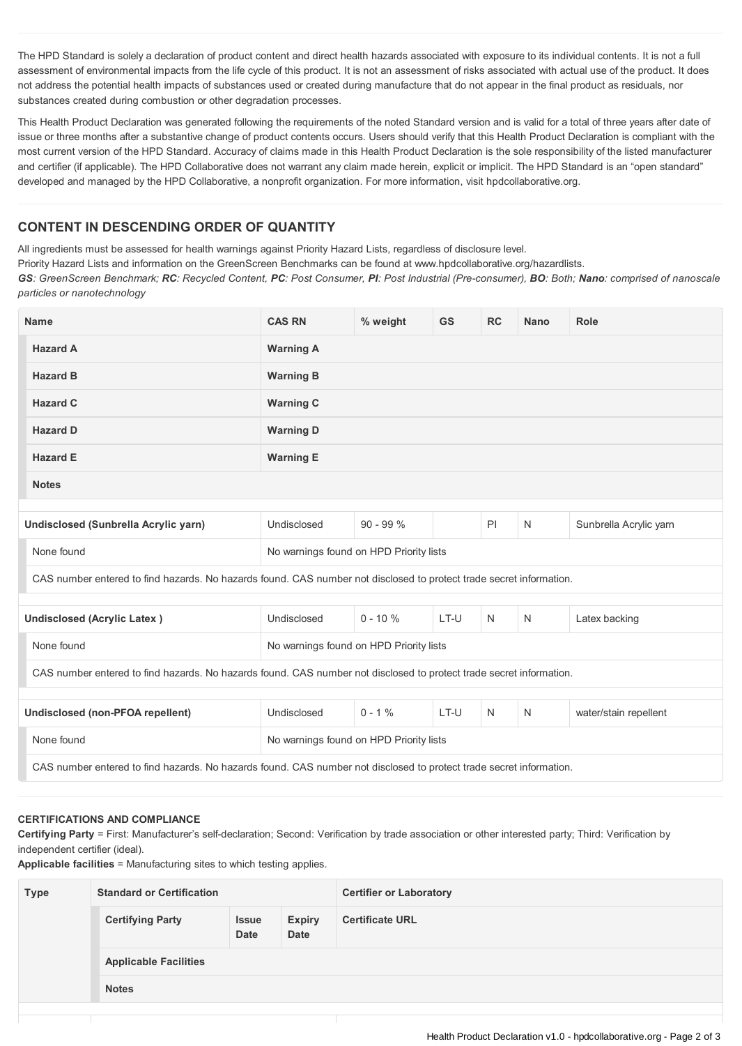The HPD Standard is solely a declaration of product content and direct health hazards associated with exposure to its individual contents. It is not a full assessment of environmental impacts from the life cycle of this product. It is not an assessment of risks associated with actual use of the product. It does not address the potential health impacts of substances used or created during manufacture that do not appear in the final product as residuals, nor substances created during combustion or other degradation processes.

This Health Product Declaration was generated following the requirements of the noted Standard version and is valid for a total of three years after date of issue or three months after a substantive change of product contents occurs. Users should verify that this Health Product Declaration is compliant with the most current version of the HPD Standard. Accuracy of claims made in this Health Product Declaration is the sole responsibility of the listed manufacturer and certifier (if applicable). The HPD Collaborative does not warrant any claim made herein, explicit or implicit. The HPD Standard is an "open standard" developed and managed by the HPD Collaborative, a nonprofit organization. For more information, visit hpdcollaborative.org.

## **CONTENT IN DESCENDING ORDER OF QUANTITY**

All ingredients must be assessed for health warnings against Priority Hazard Lists, regardless of disclosure level.

Priority Hazard Lists and information on the GreenScreen Benchmarks can be found at www.hpdcollaborative.org/hazardlists.

GS: GreenScreen Benchmark; RC: Recycled Content, PC: Post Consumer, PI: Post Industrial (Pre-consumer), BO: Both; Nano: comprised of nanoscale *particles or nanotechnology*

| <b>Name</b>                                                                                                         | <b>CAS RN</b>                           | % weight    | <b>GS</b> | <b>RC</b> | <b>Nano</b> | <b>Role</b>            |  |
|---------------------------------------------------------------------------------------------------------------------|-----------------------------------------|-------------|-----------|-----------|-------------|------------------------|--|
| <b>Hazard A</b>                                                                                                     | <b>Warning A</b>                        |             |           |           |             |                        |  |
| <b>Hazard B</b>                                                                                                     | <b>Warning B</b>                        |             |           |           |             |                        |  |
| <b>Hazard C</b>                                                                                                     | <b>Warning C</b>                        |             |           |           |             |                        |  |
| <b>Hazard D</b>                                                                                                     | <b>Warning D</b>                        |             |           |           |             |                        |  |
| <b>Hazard E</b>                                                                                                     | <b>Warning E</b>                        |             |           |           |             |                        |  |
| <b>Notes</b>                                                                                                        |                                         |             |           |           |             |                        |  |
|                                                                                                                     |                                         |             |           |           |             |                        |  |
| Undisclosed (Sunbrella Acrylic yarn)                                                                                | Undisclosed                             | $90 - 99%$  |           | PI        | N           | Sunbrella Acrylic yarn |  |
| None found                                                                                                          | No warnings found on HPD Priority lists |             |           |           |             |                        |  |
| CAS number entered to find hazards. No hazards found. CAS number not disclosed to protect trade secret information. |                                         |             |           |           |             |                        |  |
|                                                                                                                     |                                         |             |           |           |             |                        |  |
| <b>Undisclosed (Acrylic Latex)</b>                                                                                  | Undisclosed                             | $0 - 10 \%$ | LT-U      | N         | N           | Latex backing          |  |
| None found                                                                                                          | No warnings found on HPD Priority lists |             |           |           |             |                        |  |
| CAS number entered to find hazards. No hazards found. CAS number not disclosed to protect trade secret information. |                                         |             |           |           |             |                        |  |
|                                                                                                                     |                                         |             |           |           |             |                        |  |
| Undisclosed (non-PFOA repellent)                                                                                    | Undisclosed                             | $0 - 1%$    | LT-U      | N         | N           | water/stain repellent  |  |
| None found                                                                                                          | No warnings found on HPD Priority lists |             |           |           |             |                        |  |
| CAS number entered to find hazards. No hazards found. CAS number not disclosed to protect trade secret information. |                                         |             |           |           |             |                        |  |
|                                                                                                                     |                                         |             |           |           |             |                        |  |

## **CERTIFICATIONS AND COMPLIANCE**

**Certifying Party** = First: Manufacturer's self-declaration; Second: Verification by trade association or other interested party; Third: Verification by independent certifier (ideal).

**Applicable facilities** = Manufacturing sites to which testing applies.

| <b>Type</b> | <b>Standard or Certification</b> |                             |                              | <b>Certifier or Laboratory</b> |  |  |
|-------------|----------------------------------|-----------------------------|------------------------------|--------------------------------|--|--|
|             | <b>Certifying Party</b>          | <b>Issue</b><br><b>Date</b> | <b>Expiry</b><br><b>Date</b> | <b>Certificate URL</b>         |  |  |
|             | <b>Applicable Facilities</b>     |                             |                              |                                |  |  |
|             | <b>Notes</b>                     |                             |                              |                                |  |  |
|             |                                  |                             |                              |                                |  |  |